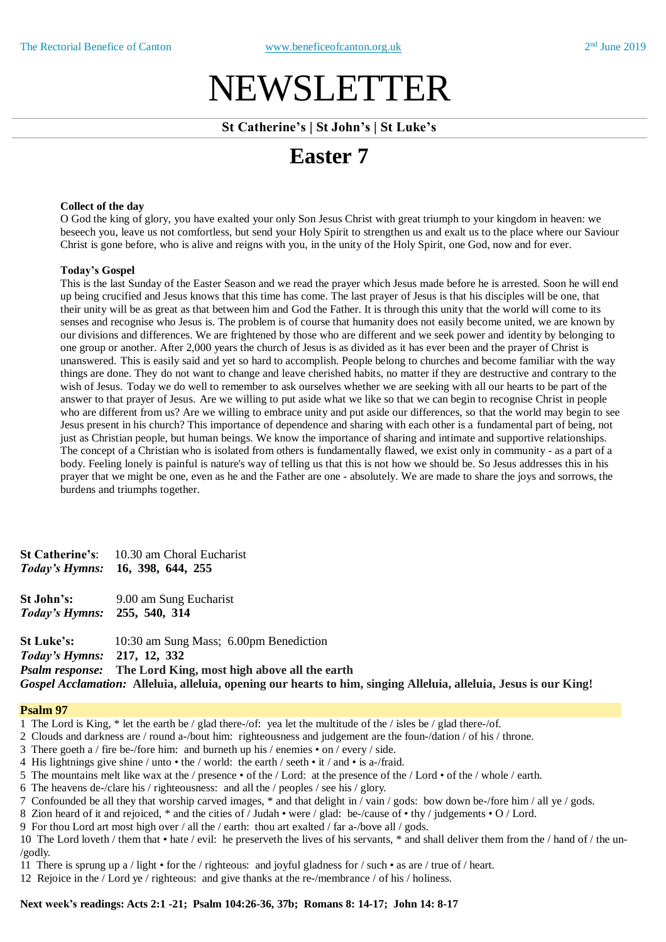# NEWSLETTER

#### **St Catherine's | St John's | St Luke's**

## **Easter 7**

#### **Collect of the day**

O God the king of glory, you have exalted your only Son Jesus Christ with great triumph to your kingdom in heaven: we beseech you, leave us not comfortless, but send your Holy Spirit to strengthen us and exalt us to the place where our Saviour Christ is gone before, who is alive and reigns with you, in the unity of the Holy Spirit, one God, now and for ever.

#### **Today's Gospel**

This is the last Sunday of the Easter Season and we read the prayer which Jesus made before he is arrested. Soon he will end up being crucified and Jesus knows that this time has come. The last prayer of Jesus is that his disciples will be one, that their unity will be as great as that between him and God the Father. It is through this unity that the world will come to its senses and recognise who Jesus is. The problem is of course that humanity does not easily become united, we are known by our divisions and differences. We are frightened by those who are different and we seek power and identity by belonging to one group or another. After 2,000 years the church of Jesus is as divided as it has ever been and the prayer of Christ is unanswered. This is easily said and yet so hard to accomplish. People belong to churches and become familiar with the way things are done. They do not want to change and leave cherished habits, no matter if they are destructive and contrary to the wish of Jesus. Today we do well to remember to ask ourselves whether we are seeking with all our hearts to be part of the answer to that prayer of Jesus. Are we willing to put aside what we like so that we can begin to recognise Christ in people who are different from us? Are we willing to embrace unity and put aside our differences, so that the world may begin to see Jesus present in his church? This importance of dependence and sharing with each other is a fundamental part of being, not just as Christian people, but human beings. We know the importance of sharing and intimate and supportive relationships. The concept of a Christian who is isolated from others is fundamentally flawed, we exist only in community - as a part of a body. Feeling lonely is painful is nature's way of telling us that this is not how we should be. So Jesus addresses this in his prayer that we might be one, even as he and the Father are one - absolutely. We are made to share the joys and sorrows, the burdens and triumphs together.

|                              | <b>St Catherine's:</b> 10.30 am Choral Eucharist                                                                  |
|------------------------------|-------------------------------------------------------------------------------------------------------------------|
|                              | Today's Hymns: 16, 398, 644, 255                                                                                  |
| St John's:                   | 9.00 am Sung Eucharist                                                                                            |
| Today's Hymns: 255, 540, 314 |                                                                                                                   |
| St Luke's:                   | 10:30 am Sung Mass; 6.00pm Benediction                                                                            |
| Today's Hymns: 217, 12, 332  |                                                                                                                   |
|                              | <i>Psalm response:</i> The Lord King, most high above all the earth                                               |
|                              | Gospel Acclamation: Alleluia, alleluia, opening our hearts to him, singing Alleluia, alleluia, Jesus is our King! |

#### **Psalm 97**

- 1 The Lord is King, \* let the earth be / glad there-/of: yea let the multitude of the / isles be / glad there-/of.
- 2 Clouds and darkness are / round a-/bout him: righteousness and judgement are the foun-/dation / of his / throne.
- 3 There goeth a / fire be-/fore him: and burneth up his / enemies on / every / side.
- 4 His lightnings give shine / unto the / world: the earth / seeth it / and is a-/fraid.
- 5 The mountains melt like wax at the / presence of the / Lord: at the presence of the / Lord of the / whole / earth.
- 6 The heavens de-/clare his / righteousness: and all the / peoples / see his / glory.
- 7 Confounded be all they that worship carved images, \* and that delight in / vain / gods: bow down be-/fore him / all ye / gods.
- 8 Zion heard of it and rejoiced, \* and the cities of / Judah were / glad: be-/cause of thy / judgements O / Lord.
- 9 For thou Lord art most high over / all the / earth: thou art exalted / far a-/bove all / gods.
- 10 The Lord loveth / them that hate / evil: he preserveth the lives of his servants, \* and shall deliver them from the / hand of / the un- /godly.
- 11 There is sprung up a / light for the / righteous: and joyful gladness for / such as are / true of / heart.
- 12 Rejoice in the / Lord ye / righteous: and give thanks at the re-/membrance / of his / holiness.

#### **Next week's readings: Acts 2:1 -21; Psalm 104:26-36, 37b; Romans 8: 14-17; John 14: 8-17**